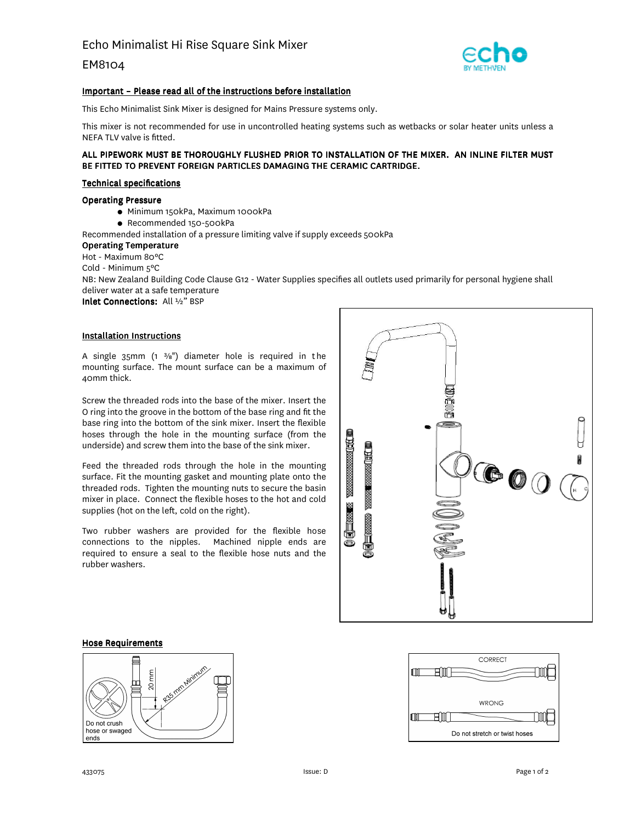EM8104



## Important – Please read all of the instructions before installation

This Echo Minimalist Sink Mixer is designed for Mains Pressure systems only.

This mixer is not recommended for use in uncontrolled heating systems such as wetbacks or solar heater units unless a NEFA TLV valve is fitted.

## ALL PIPEWORK MUST BE THOROUGHLY FLUSHED PRIOR TO INSTALLATION OF THE MIXER. AN INLINE FILTER MUST BE FITTED TO PREVENT FOREIGN PARTICLES DAMAGING THE CERAMIC CARTRIDGE.

#### Technical specifications

### Operating Pressure

- Minimum 150kPa, Maximum 1000kPa
- Recommended 150-500kPa
- Recommended installation of a pressure limiting valve if supply exceeds 500kPa

#### Operating Temperature

Hot - Maximum 80ºC

Cold - Minimum 5ºC

NB: New Zealand Building Code Clause G12 - Water Supplies specifies all outlets used primarily for personal hygiene shall deliver water at a safe temperature

Inlet Connections: All ½" BSP

#### Installation Instructions

A single  $35$ mm (1  $\frac{3}{8}$ ") diameter hole is required in the mounting surface. The mount surface can be a maximum of 40mm thick.

Screw the threaded rods into the base of the mixer. Insert the O ring into the groove in the bottom of the base ring and fit the base ring into the bottom of the sink mixer. Insert the flexible hoses through the hole in the mounting surface (from the underside) and screw them into the base of the sink mixer.

Feed the threaded rods through the hole in the mounting surface. Fit the mounting gasket and mounting plate onto the threaded rods. Tighten the mounting nuts to secure the basin mixer in place. Connect the flexible hoses to the hot and cold supplies (hot on the left, cold on the right).

Two rubber washers are provided for the flexible hose connections to the nipples. Machined nipple ends are required to ensure a seal to the flexible hose nuts and the rubber washers.



#### Hose Requirements